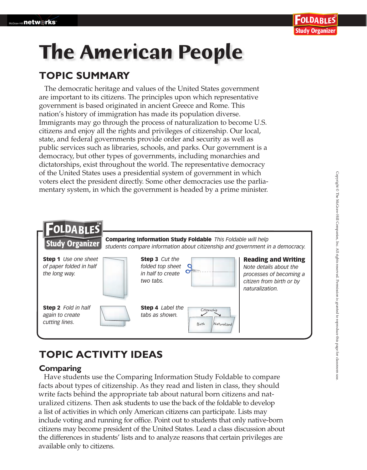# **The American People**

### **TOPIC SUMMARY**

The democratic heritage and values of the United States government are important to its citizens. The principles upon which representative government is based originated in ancient Greece and Rome. This nation's history of immigration has made its population diverse. Immigrants may go through the process of naturalization to become U.S. citizens and enjoy all the rights and privileges of citizenship. Our local, state, and federal governments provide order and security as well as public services such as libraries, schools, and parks. Our government is a democracy, but other types of governments, including monarchies and dictatorships, exist throughout the world. The representative democracy of the United States uses a presidential system of government in which voters elect the president directly. Some other democracies use the parliamentary system, in which the government is headed by a prime minister.



## **TOPIC ACTIVITY IDEAS**

#### **Comparing**

 Have students use the Comparing Information Study Foldable to compare facts about types of citizenship. As they read and listen in class, they should write facts behind the appropriate tab about natural born citizens and naturalized citizens. Then ask students to use the back of the foldable to develop a list of activities in which only American citizens can participate. Lists may include voting and running for office. Point out to students that only native-born citizens may become president of the United States. Lead a class discussion about the differences in students' lists and to analyze reasons that certain privileges are available only to citizens.